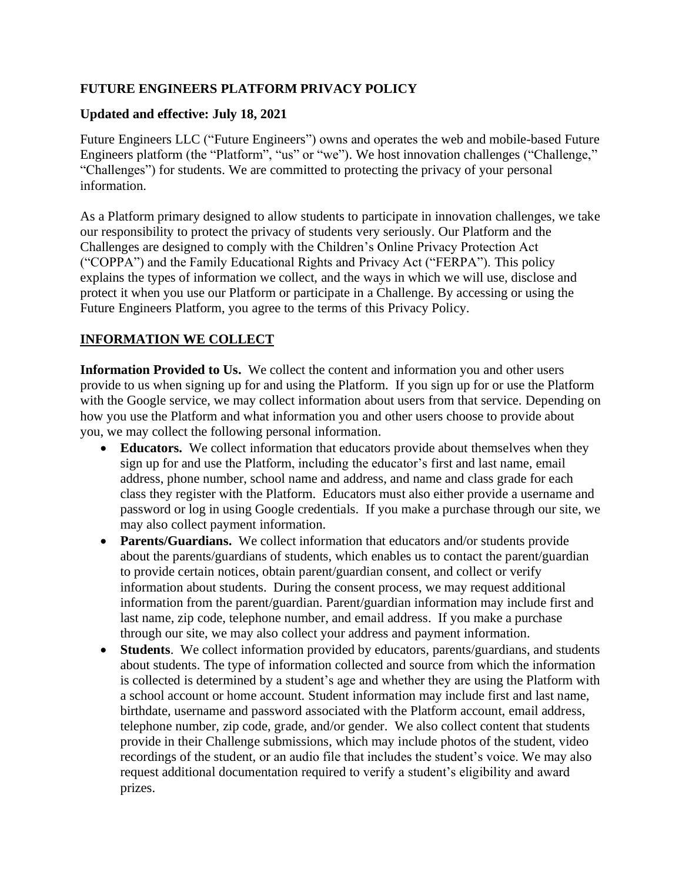## **FUTURE ENGINEERS PLATFORM PRIVACY POLICY**

#### **Updated and effective: July 18, 2021**

Future Engineers LLC ("Future Engineers") owns and operates the web and mobile-based Future Engineers platform (the "Platform", "us" or "we"). We host innovation challenges ("Challenge," "Challenges") for students. We are committed to protecting the privacy of your personal information.

As a Platform primary designed to allow students to participate in innovation challenges, we take our responsibility to protect the privacy of students very seriously. Our Platform and the Challenges are designed to comply with the Children's Online Privacy Protection Act ("COPPA") and the Family Educational Rights and Privacy Act ("FERPA"). This policy explains the types of information we collect, and the ways in which we will use, disclose and protect it when you use our Platform or participate in a Challenge. By accessing or using the Future Engineers Platform, you agree to the terms of this Privacy Policy.

### **INFORMATION WE COLLECT**

**Information Provided to Us.** We collect the content and information you and other users provide to us when signing up for and using the Platform. If you sign up for or use the Platform with the Google service, we may collect information about users from that service. Depending on how you use the Platform and what information you and other users choose to provide about you, we may collect the following personal information.

- **Educators.** We collect information that educators provide about themselves when they sign up for and use the Platform, including the educator's first and last name, email address, phone number, school name and address, and name and class grade for each class they register with the Platform. Educators must also either provide a username and password or log in using Google credentials. If you make a purchase through our site, we may also collect payment information.
- **Parents/Guardians.** We collect information that educators and/or students provide about the parents/guardians of students, which enables us to contact the parent/guardian to provide certain notices, obtain parent/guardian consent, and collect or verify information about students. During the consent process, we may request additional information from the parent/guardian. Parent/guardian information may include first and last name, zip code, telephone number, and email address. If you make a purchase through our site, we may also collect your address and payment information.
- **Students**. We collect information provided by educators, parents/guardians, and students about students. The type of information collected and source from which the information is collected is determined by a student's age and whether they are using the Platform with a school account or home account. Student information may include first and last name, birthdate, username and password associated with the Platform account, email address, telephone number, zip code, grade, and/or gender. We also collect content that students provide in their Challenge submissions, which may include photos of the student, video recordings of the student, or an audio file that includes the student's voice. We may also request additional documentation required to verify a student's eligibility and award prizes.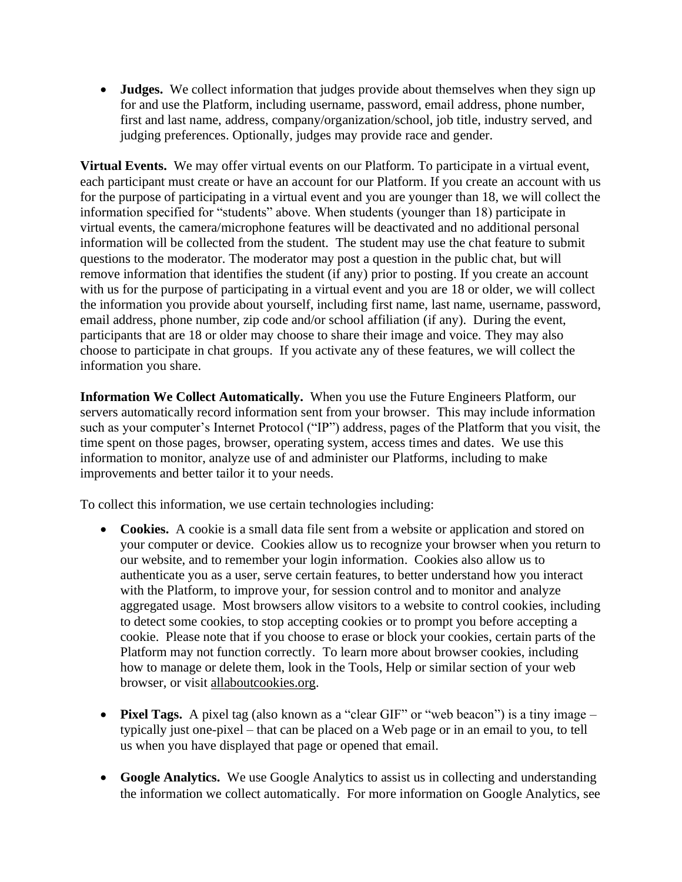• **Judges.** We collect information that judges provide about themselves when they sign up for and use the Platform, including username, password, email address, phone number, first and last name, address, company/organization/school, job title, industry served, and judging preferences. Optionally, judges may provide race and gender.

**Virtual Events.** We may offer virtual events on our Platform. To participate in a virtual event, each participant must create or have an account for our Platform. If you create an account with us for the purpose of participating in a virtual event and you are younger than 18, we will collect the information specified for "students" above. When students (younger than 18) participate in virtual events, the camera/microphone features will be deactivated and no additional personal information will be collected from the student. The student may use the chat feature to submit questions to the moderator. The moderator may post a question in the public chat, but will remove information that identifies the student (if any) prior to posting. If you create an account with us for the purpose of participating in a virtual event and you are 18 or older, we will collect the information you provide about yourself, including first name, last name, username, password, email address, phone number, zip code and/or school affiliation (if any). During the event, participants that are 18 or older may choose to share their image and voice. They may also choose to participate in chat groups. If you activate any of these features, we will collect the information you share.

**Information We Collect Automatically.** When you use the Future Engineers Platform, our servers automatically record information sent from your browser. This may include information such as your computer's Internet Protocol ("IP") address, pages of the Platform that you visit, the time spent on those pages, browser, operating system, access times and dates. We use this information to monitor, analyze use of and administer our Platforms, including to make improvements and better tailor it to your needs.

To collect this information, we use certain technologies including:

- **Cookies.** A cookie is a small data file sent from a website or application and stored on your computer or device. Cookies allow us to recognize your browser when you return to our website, and to remember your login information. Cookies also allow us to authenticate you as a user, serve certain features, to better understand how you interact with the Platform, to improve your, for session control and to monitor and analyze aggregated usage. Most browsers allow visitors to a website to control cookies, including to detect some cookies, to stop accepting cookies or to prompt you before accepting a cookie. Please note that if you choose to erase or block your cookies, certain parts of the Platform may not function correctly. To learn more about browser cookies, including how to manage or delete them, look in the Tools, Help or similar section of your web browser, or visit allaboutcookies.org.
- **Pixel Tags.** A pixel tag (also known as a "clear GIF" or "web beacon") is a tiny image typically just one-pixel – that can be placed on a Web page or in an email to you, to tell us when you have displayed that page or opened that email.
- **Google Analytics.** We use Google Analytics to assist us in collecting and understanding the information we collect automatically. For more information on Google Analytics, see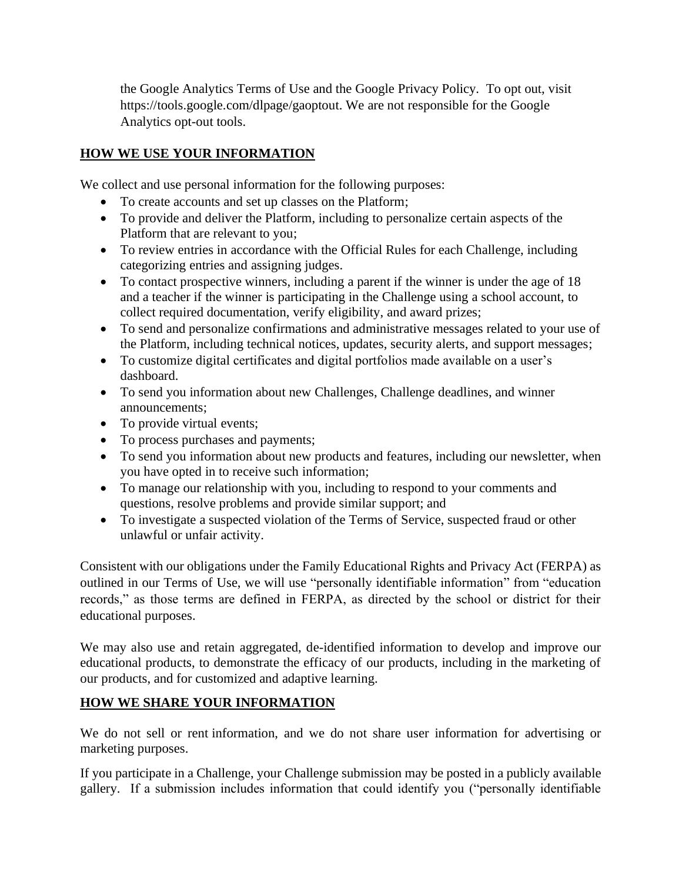the Google Analytics Terms of Use and the Google Privacy Policy. To opt out, visit https://tools.google.com/dlpage/gaoptout. We are not responsible for the Google Analytics opt-out tools.

# **HOW WE USE YOUR INFORMATION**

We collect and use personal information for the following purposes:

- To create accounts and set up classes on the Platform;
- To provide and deliver the Platform, including to personalize certain aspects of the Platform that are relevant to you;
- To review entries in accordance with the Official Rules for each Challenge, including categorizing entries and assigning judges.
- To contact prospective winners, including a parent if the winner is under the age of 18 and a teacher if the winner is participating in the Challenge using a school account, to collect required documentation, verify eligibility, and award prizes;
- To send and personalize confirmations and administrative messages related to your use of the Platform, including technical notices, updates, security alerts, and support messages;
- To customize digital certificates and digital portfolios made available on a user's dashboard.
- To send you information about new Challenges, Challenge deadlines, and winner announcements;
- To provide virtual events;
- To process purchases and payments;
- To send you information about new products and features, including our newsletter, when you have opted in to receive such information;
- To manage our relationship with you, including to respond to your comments and questions, resolve problems and provide similar support; and
- To investigate a suspected violation of the Terms of Service, suspected fraud or other unlawful or unfair activity.

Consistent with our obligations under the Family Educational Rights and Privacy Act (FERPA) as outlined in our Terms of Use, we will use "personally identifiable information" from "education records," as those terms are defined in FERPA, as directed by the school or district for their educational purposes.

We may also use and retain aggregated, de-identified information to develop and improve our educational products, to demonstrate the efficacy of our products, including in the marketing of our products, and for customized and adaptive learning.

# **HOW WE SHARE YOUR INFORMATION**

We do not sell or rent information, and we do not share user information for advertising or marketing purposes.

If you participate in a Challenge, your Challenge submission may be posted in a publicly available gallery. If a submission includes information that could identify you ("personally identifiable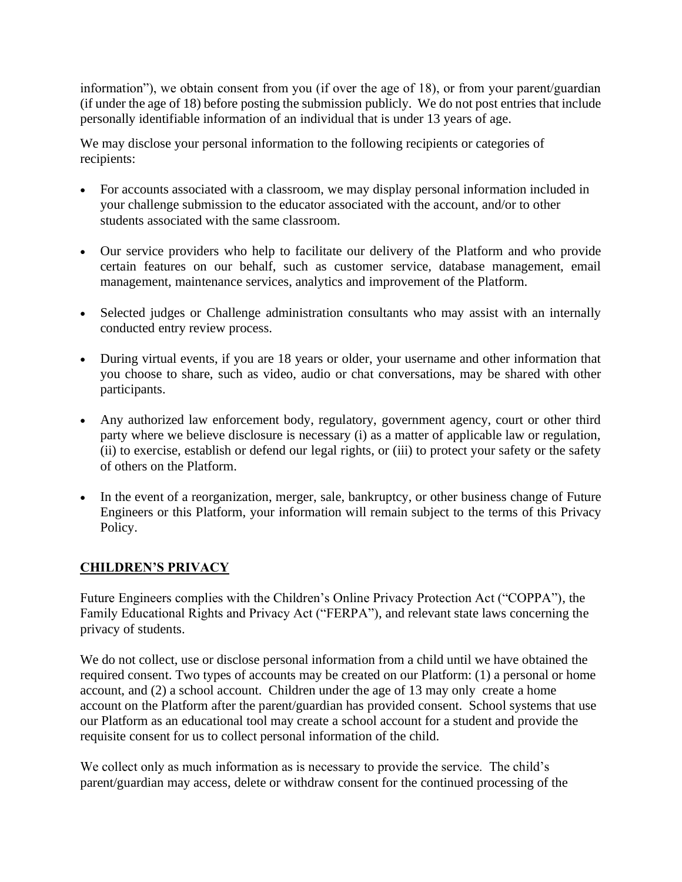information"), we obtain consent from you (if over the age of 18), or from your parent/guardian (if under the age of 18) before posting the submission publicly. We do not post entries that include personally identifiable information of an individual that is under 13 years of age.

We may disclose your personal information to the following recipients or categories of recipients:

- For accounts associated with a classroom, we may display personal information included in your challenge submission to the educator associated with the account, and/or to other students associated with the same classroom.
- Our service providers who help to facilitate our delivery of the Platform and who provide certain features on our behalf, such as customer service, database management, email management, maintenance services, analytics and improvement of the Platform.
- Selected judges or Challenge administration consultants who may assist with an internally conducted entry review process.
- During virtual events, if you are 18 years or older, your username and other information that you choose to share, such as video, audio or chat conversations, may be shared with other participants.
- Any authorized law enforcement body, regulatory, government agency, court or other third party where we believe disclosure is necessary (i) as a matter of applicable law or regulation, (ii) to exercise, establish or defend our legal rights, or (iii) to protect your safety or the safety of others on the Platform.
- In the event of a reorganization, merger, sale, bankruptcy, or other business change of Future Engineers or this Platform, your information will remain subject to the terms of this Privacy Policy.

#### **CHILDREN'S PRIVACY**

Future Engineers complies with the Children's Online Privacy Protection Act ("COPPA"), the Family Educational Rights and Privacy Act ("FERPA"), and relevant state laws concerning the privacy of students.

We do not collect, use or disclose personal information from a child until we have obtained the required consent. Two types of accounts may be created on our Platform: (1) a personal or home account, and (2) a school account. Children under the age of 13 may only create a home account on the Platform after the parent/guardian has provided consent. School systems that use our Platform as an educational tool may create a school account for a student and provide the requisite consent for us to collect personal information of the child.

We collect only as much information as is necessary to provide the service. The child's parent/guardian may access, delete or withdraw consent for the continued processing of the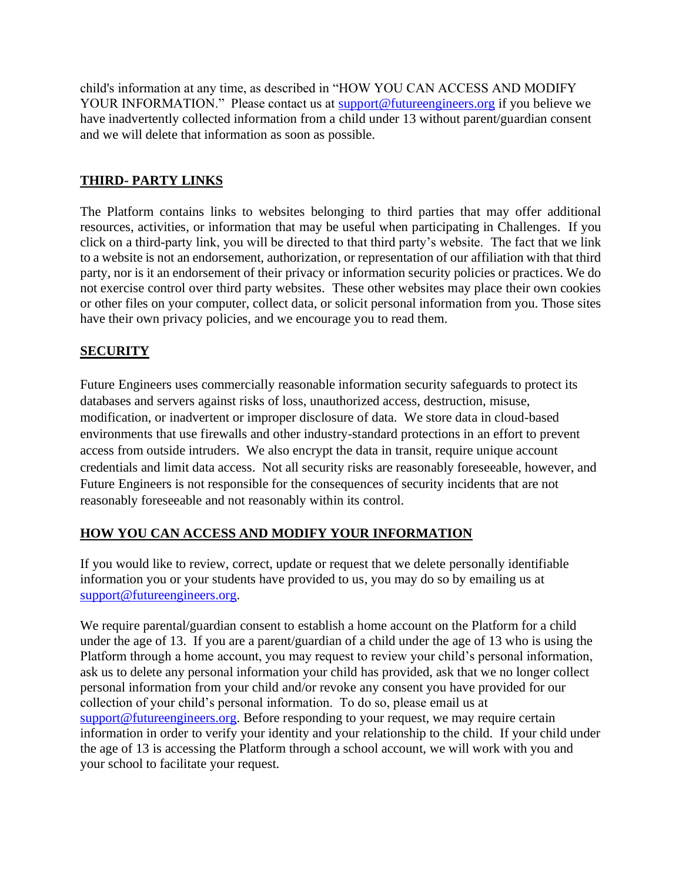child's information at any time, as described in "HOW YOU CAN ACCESS AND MODIFY YOUR INFORMATION." Please contact us at [support@futureengineers.org](mailto:support@futureengineers.org) if you believe we have inadvertently collected information from a child under 13 without parent/guardian consent and we will delete that information as soon as possible.

## **THIRD- PARTY LINKS**

The Platform contains links to websites belonging to third parties that may offer additional resources, activities, or information that may be useful when participating in Challenges. If you click on a third-party link, you will be directed to that third party's website. The fact that we link to a website is not an endorsement, authorization, or representation of our affiliation with that third party, nor is it an endorsement of their privacy or information security policies or practices. We do not exercise control over third party websites. These other websites may place their own cookies or other files on your computer, collect data, or solicit personal information from you. Those sites have their own privacy policies, and we encourage you to read them.

### **SECURITY**

Future Engineers uses commercially reasonable information security safeguards to protect its databases and servers against risks of loss, unauthorized access, destruction, misuse, modification, or inadvertent or improper disclosure of data. We store data in cloud-based environments that use firewalls and other industry-standard protections in an effort to prevent access from outside intruders. We also encrypt the data in transit, require unique account credentials and limit data access. Not all security risks are reasonably foreseeable, however, and Future Engineers is not responsible for the consequences of security incidents that are not reasonably foreseeable and not reasonably within its control.

#### **HOW YOU CAN ACCESS AND MODIFY YOUR INFORMATION**

If you would like to review, correct, update or request that we delete personally identifiable information you or your students have provided to us, you may do so by emailing us at [support@futureengineers.org.](mailto:support@futureengineers.org)

We require parental/guardian consent to establish a home account on the Platform for a child under the age of 13. If you are a parent/guardian of a child under the age of 13 who is using the Platform through a home account, you may request to review your child's personal information, ask us to delete any personal information your child has provided, ask that we no longer collect personal information from your child and/or revoke any consent you have provided for our collection of your child's personal information. To do so, please email us at [support@futureengineers.org.](mailto:support@futureengineers.org) Before responding to your request, we may require certain information in order to verify your identity and your relationship to the child. If your child under the age of 13 is accessing the Platform through a school account, we will work with you and your school to facilitate your request.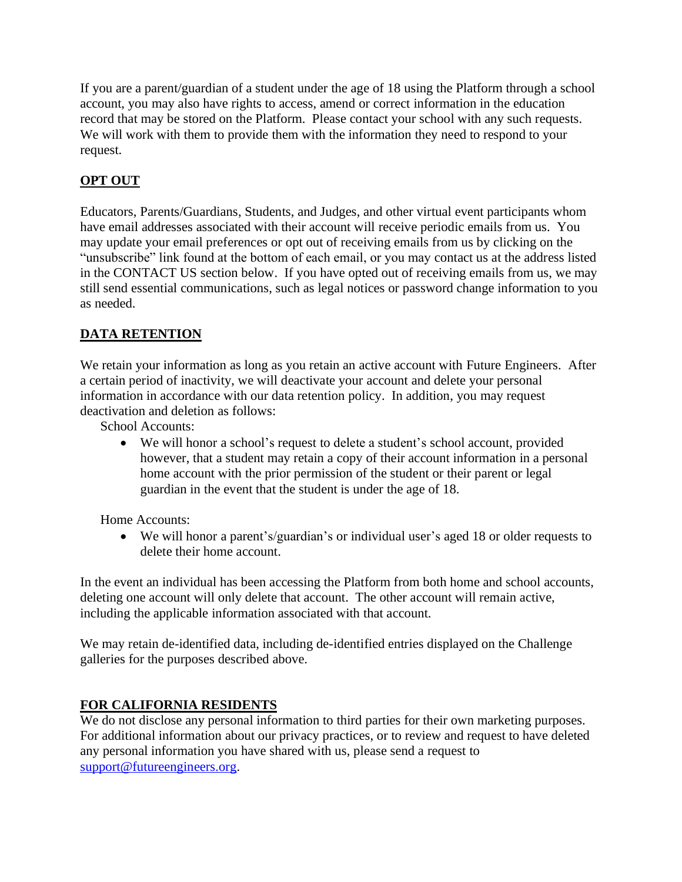If you are a parent/guardian of a student under the age of 18 using the Platform through a school account, you may also have rights to access, amend or correct information in the education record that may be stored on the Platform. Please contact your school with any such requests. We will work with them to provide them with the information they need to respond to your request.

# **OPT OUT**

Educators, Parents/Guardians, Students, and Judges, and other virtual event participants whom have email addresses associated with their account will receive periodic emails from us. You may update your email preferences or opt out of receiving emails from us by clicking on the "unsubscribe" link found at the bottom of each email, or you may contact us at the address listed in the CONTACT US section below. If you have opted out of receiving emails from us, we may still send essential communications, such as legal notices or password change information to you as needed.

# **DATA RETENTION**

We retain your information as long as you retain an active account with Future Engineers. After a certain period of inactivity, we will deactivate your account and delete your personal information in accordance with our data retention policy. In addition, you may request deactivation and deletion as follows:

School Accounts:

• We will honor a school's request to delete a student's school account, provided however, that a student may retain a copy of their account information in a personal home account with the prior permission of the student or their parent or legal guardian in the event that the student is under the age of 18.

Home Accounts:

• We will honor a parent's/guardian's or individual user's aged 18 or older requests to delete their home account.

In the event an individual has been accessing the Platform from both home and school accounts, deleting one account will only delete that account. The other account will remain active, including the applicable information associated with that account.

We may retain de-identified data, including de-identified entries displayed on the Challenge galleries for the purposes described above.

# **FOR CALIFORNIA RESIDENTS**

We do not disclose any personal information to third parties for their own marketing purposes. For additional information about our privacy practices, or to review and request to have deleted any personal information you have shared with us, please send a request to [support@futureengineers.org.](mailto:support@futureengineers.org)